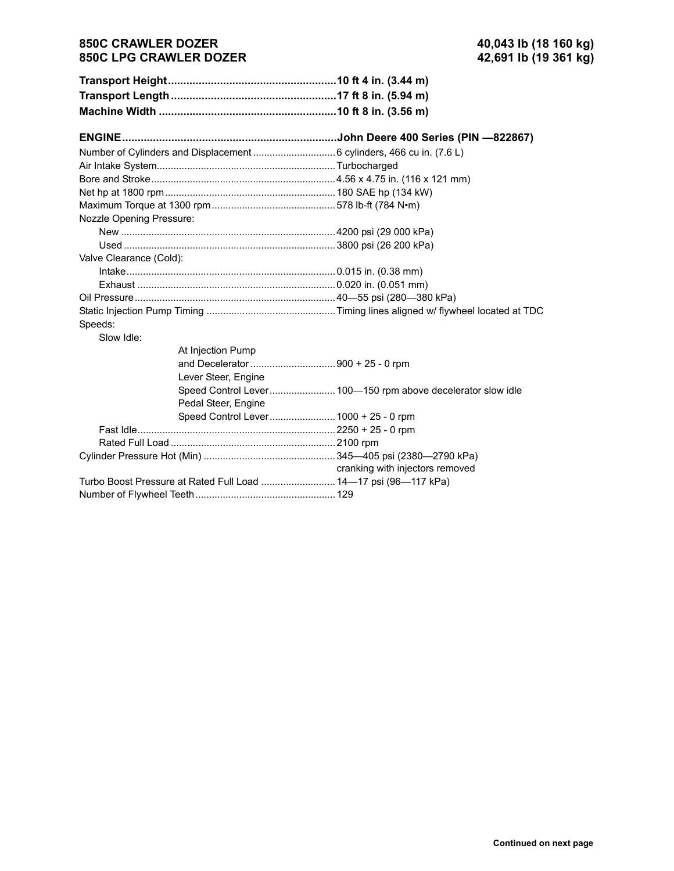## **850C CRAWLER DOZER 40,043 lb (18 160 kg) 850C LPG CRAWLER DOZER**

| Nozzle Opening Pressure: |                                                                 |                                 |
|--------------------------|-----------------------------------------------------------------|---------------------------------|
|                          |                                                                 |                                 |
|                          |                                                                 |                                 |
| Valve Clearance (Cold):  |                                                                 |                                 |
|                          |                                                                 |                                 |
|                          |                                                                 |                                 |
|                          |                                                                 |                                 |
|                          |                                                                 |                                 |
| Speeds:                  |                                                                 |                                 |
| Slow Idle:               |                                                                 |                                 |
|                          | At Injection Pump                                               |                                 |
|                          |                                                                 |                                 |
|                          | Lever Steer, Engine                                             |                                 |
|                          |                                                                 |                                 |
|                          | Pedal Steer, Engine                                             |                                 |
|                          |                                                                 |                                 |
|                          |                                                                 |                                 |
|                          |                                                                 |                                 |
|                          |                                                                 |                                 |
|                          |                                                                 | cranking with injectors removed |
|                          | Turbo Boost Pressure at Rated Full Load  14-17 psi (96-117 kPa) |                                 |
|                          |                                                                 |                                 |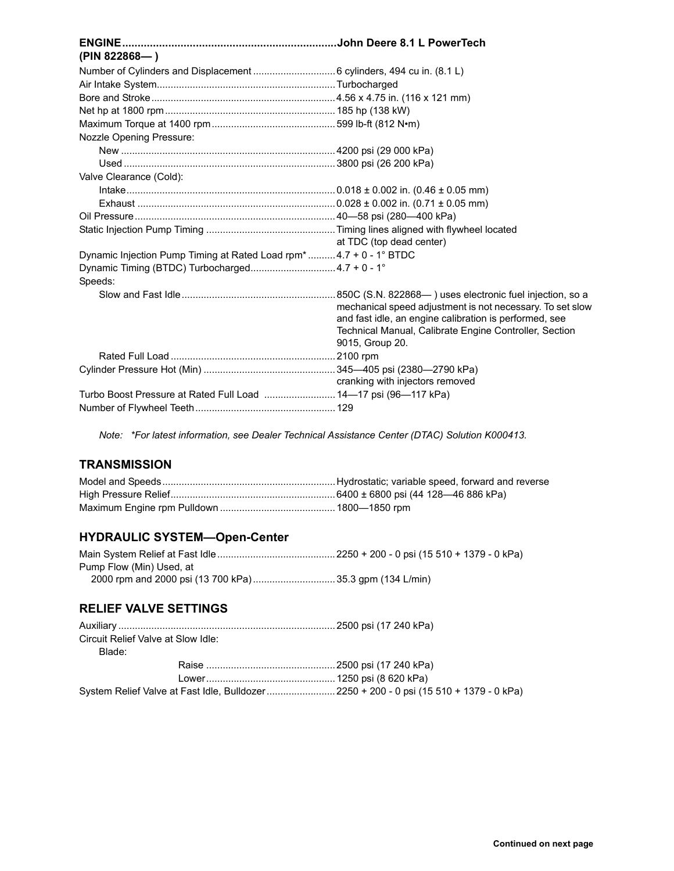| (PIN 822868)                                                      |                                                           |
|-------------------------------------------------------------------|-----------------------------------------------------------|
|                                                                   |                                                           |
|                                                                   |                                                           |
|                                                                   |                                                           |
|                                                                   |                                                           |
|                                                                   |                                                           |
| <b>Nozzle Opening Pressure:</b>                                   |                                                           |
|                                                                   |                                                           |
|                                                                   |                                                           |
| Valve Clearance (Cold):                                           |                                                           |
|                                                                   |                                                           |
|                                                                   |                                                           |
|                                                                   |                                                           |
|                                                                   |                                                           |
|                                                                   | at TDC (top dead center)                                  |
| Dynamic Injection Pump Timing at Rated Load rpm*4.7 + 0 - 1° BTDC |                                                           |
| Dynamic Timing (BTDC) Turbocharged4.7 + 0 - 1°                    |                                                           |
| Speeds:                                                           |                                                           |
|                                                                   |                                                           |
|                                                                   | mechanical speed adjustment is not necessary. To set slow |
|                                                                   | and fast idle, an engine calibration is performed, see    |
|                                                                   | Technical Manual, Calibrate Engine Controller, Section    |
|                                                                   | 9015, Group 20.                                           |
|                                                                   |                                                           |
|                                                                   |                                                           |
|                                                                   | cranking with injectors removed                           |
| Turbo Boost Pressure at Rated Full Load  14-17 psi (96-117 kPa)   |                                                           |
|                                                                   |                                                           |

*Note: \*For latest information, see Dealer Technical Assistance Center (DTAC) Solution K000413.*

## **TRANSMISSION**

# **HYDRAULIC SYSTEM-Open-Center**

| Pump Flow (Min) Used, at                                |  |
|---------------------------------------------------------|--|
| 2000 rpm and 2000 psi (13 700 kPa) 35.3 gpm (134 L/min) |  |

#### **RELIEF VALVE SETTINGS**

| Circuit Relief Valve at Slow Idle: |                                                                                       |
|------------------------------------|---------------------------------------------------------------------------------------|
| Blade:                             |                                                                                       |
|                                    |                                                                                       |
|                                    |                                                                                       |
|                                    | System Relief Valve at Fast Idle, Bulldozer2250 + 200 - 0 psi (15 510 + 1379 - 0 kPa) |